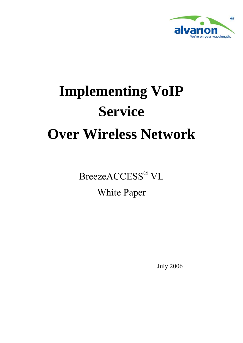

# **Implementing VoIP Service Over Wireless Network**

BreezeACCESS® VL

White Paper

July 2006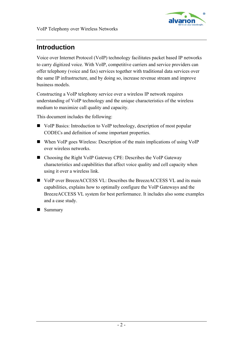

# **Introduction**

Voice over Internet Protocol (VoIP) technology facilitates packet based IP networks to carry digitized voice. With VoIP, competitive carriers and service providers can offer telephony (voice and fax) services together with traditional data services over the same IP infrastructure, and by doing so, increase revenue stream and improve business models.

Constructing a VoIP telephony service over a wireless IP network requires understanding of VoIP technology and the unique characteristics of the wireless medium to maximize call quality and capacity.

This document includes the following:

- [VoIP Basics:](#page-2-0) Introduction to VoIP technology, description of most popular CODECs and definition of some important properties.
- [When VoIP goes Wireless:](#page-4-0) Description of the main implications of using VoIP over wireless networks.
- [Choosing the Right VoIP Gateway CPE](#page-6-0): Describes the VoIP Gateway characteristics and capabilities that affect voice quality and cell capacity when using it over a wireless link.
- [VoIP over BreezeACCESS VL](#page-8-0): Describes the BreezeACCESS VL and its main capabilities, explains how to optimally configure the VoIP Gateways and the BreezeACCESS VL system for best performance. It includes also some examples and a case study.
- **Summary**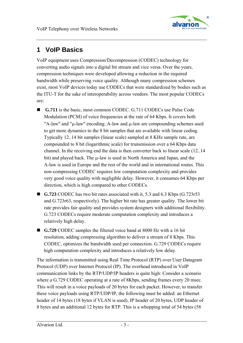

# <span id="page-2-0"></span>**1 VoIP Basics**

VoIP equipment uses Compression/Decompression (CODEC) technology for converting audio signals into a digital bit stream and vice versa. Over the years, compression techniques were developed allowing a reduction in the required bandwidth while preserving voice quality. Although many compression schemes exist, most VoIP devices today use CODECs that were standardized by bodies such as the ITU-T for the sake of interoperability across vendors. The most popular CODECs are:

- **G.711** is the basic, most common CODEC. G.711 CODECs use Pulse Code Modulation (PCM) of voice frequencies at the rate of 64 Kbps. It covers both "A-law" and "μ-law" encoding. A-law and μ-law are compounding schemes used to get more dynamics to the 8 bit samples that are available with linear coding. Typically 12..14 bit samples (linear scale) sampled at 8 KHz sample rate, are compounded to 8 bit (logarithmic scale) for transmission over a 64 Kbps data channel. In the receiving end the data is then converter back to linear scale (12..14 bit) and played back. The μ-law is used in North America and Japan, and the A-law is used in Europe and the rest of the world and in international routes. This non-compressing CODEC requires low computation complexity and provides very good voice quality with negligible delay. However, it consumes 64 Kbps per direction, which is high compared to other CODECs.
- G.723 CODEC has two bit rates associated with it, 5.3 and 6.3 Kbps (G.723r53) and G.723r63, respectively). The higher bit rate has greater quality. The lower bit rate provides fair quality and provides system designers with additional flexibility. G.723 CODECs require moderate computation complexity and introduces a relatively high delay.
- **G.729** CODEC samples the filtered voice band at 8000 Hz with a 16 bit resolution, adding compressing algorithm to deliver a stream of 8 Kbps. This CODEC, optimizes the bandwidth used per connection. G.729 CODECs require high computation complexity and introduces a relatively low delay.

The information is transmitted using Real Time Protocol (RTP) over User Datagram Protocol (UDP) over Internet Protocol (IP). The overhead introduced in VoIP communication links by the RTP/UDP/IP headers is quite high: Consider a scenario where a G.729 CODEC operating at a rate of 8Kbps, sending frames every 20 msec. This will result in a voice payloads of 20 bytes for each packet. However, to transfer these voice payloads using RTP/UDP/IP, the following must be added: an Ethernet header of 14 bytes (18 bytes if VLAN is used), IP header of 20 bytes, UDP header of 8 bytes and an additional 12 bytes for RTP. This is a whopping total of 54 bytes (58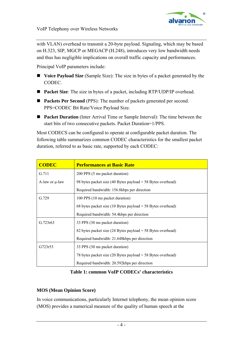

with VLAN) overhead to transmit a 20-byte payload. Signaling, which may be based on H.323, SIP, MGCP or MEGACP (H.248), introduces very low bandwidth needs and thus has negligible implications on overall traffic capacity and performances.

Principal VoIP parameters include:

- **Voice Payload Size** (Sample Size): The size in bytes of a packet generated by the CODEC.
- **Packet Size:** The size in bytes of a packet, including RTP/UDP/IP overhead.
- **Packets Per Second** (PPS): The number of packets generated per second. PPS=CODEC Bit Rate/Voice Payload Size.
- **Packet Duration** (Inter Arrival Time or Sample Interval): The time between the start bits of two consecutive packets. Packet Duration=1/PPS.

Most CODECS can be configured to operate at configurable packet duration. The following table summarizes common CODEC characteristics for the smallest packet duration, referred to as basic rate, supported by each CODEC:

| <b>CODEC</b>        | <b>Performances at Basic Rate</b>                                             |
|---------------------|-------------------------------------------------------------------------------|
| G.711               | 200 PPS (5 ms packet duration)                                                |
| A-law or $\mu$ -law | 98 bytes packet size (40 Bytes payload $+$ 58 Bytes overhead)                 |
|                     | Required bandwidth: 156.8kbps per direction                                   |
| G.729               | 100 PPS (10 ms packet duration)                                               |
|                     | 68 bytes packet size (10 Bytes payload $+$ 58 Bytes overhead)                 |
|                     | Required bandwidth: 54.4kbps per direction                                    |
| G.723r63            | 33 PPS (30 ms packet duration)                                                |
|                     | 82 bytes packet size (24 Bytes payload + 58 Bytes overhead)                   |
|                     | Required bandwidth: 21.648kbps per direction                                  |
| G723r53             | 33 PPS (30 ms packet duration)                                                |
|                     | 78 bytes packet size $(20 \text{ Bytes payload} + 58 \text{ Bytes overhead})$ |
|                     | Required bandwidth: 20.592kbps per direction                                  |

**Table 1: common VoIP CODECs' characteristics** 

#### **MOS (Mean Opinion Score)**

In voice communications, particularly Internet telephony, the mean opinion score (MOS) provides a numerical measure of the quality of human speech at the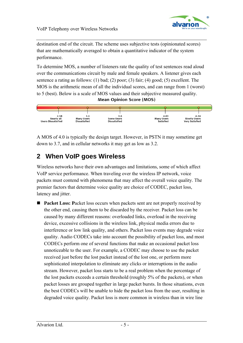

<span id="page-4-0"></span>destination end of the circuit. The scheme uses subjective tests (opinionated scores) that are mathematically averaged to obtain a quantitative indicator of the system performance.

To determine MOS, a number of listeners rate the quality of test sentences read aloud over the communications circuit by male and female speakers. A listener gives each sentence a rating as follows: (1) bad; (2) poor; (3) fair; (4) good; (5) excellent. The MOS is the arithmetic mean of all the individual scores, and can range from 1 (worst) to 5 (best). Below is a scale of MOS values and their subjective measured quality. **Mean Opinion Score (MOS)** 



A MOS of 4.0 is typically the design target. However, in PSTN it may sometime get down to 3.7, and in cellular networks it may get as low as 3.2.

# **2 When VoIP goes Wireless**

Wireless networks have their own advantages and limitations, some of which affect VoIP service performance. When traveling over the wireless IP network, voice packets must contend with phenomena that may affect the overall voice quality. The premier factors that determine voice quality are choice of CODEC, packet loss, latency and jitter.

**Packet Loss: Packet loss occurs when packets sent are not properly received by** the other end, causing them to be discarded by the receiver. Packet loss can be caused by many different reasons: overloaded links, overload in the receiving device, excessive collisions in the wireless link, physical media errors due to interference or low link quality, and others. Packet loss events may degrade voice quality. Audio CODECs take into account the possibility of packet loss, and most CODECs perform one of several functions that make an occasional packet loss unnoticeable to the user. For example, a CODEC may choose to use the packet received just before the lost packet instead of the lost one, or perform more sophisticated interpolation to eliminate any clicks or interruptions in the audio stream. However, packet loss starts to be a real problem when the percentage of the lost packets exceeds a certain threshold (roughly 5% of the packets), or when packet losses are grouped together in large packet bursts. In those situations, even the best CODECs will be unable to hide the packet loss from the user, resulting in degraded voice quality. Packet loss is more common in wireless than in wire line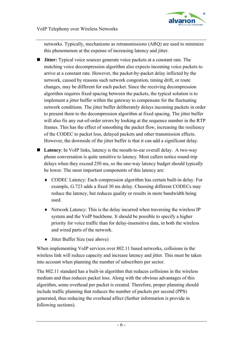

networks. Typically, mechanisms as retransmissions (ARQ) are used to minimize this phenomenon at the expense of increasing latency and jitter.

- **Jitter:** Typical voice sources generate voice packets at a constant rate. The matching voice decompression algorithm also expects incoming voice packets to arrive at a constant rate. However, the packet-by-packet delay inflicted by the network, caused by reasons such network congestion, timing drift, or route changes, may be different for each packet. Since the receiving decompression algorithm requires fixed spacing between the packets, the typical solution is to implement a jitter buffer within the gateway to compensate for the fluctuating network conditions. The jitter buffer deliberately delays incoming packets in order to present them to the decompression algorithm at fixed spacing. The jitter buffer will also fix any out-of-order errors by looking at the sequence number in the RTP frames. This has the effect of smoothing the packet flow, increasing the resiliency of the CODEC to packet loss, delayed packets and other transmission effects. However, the downside of the jitter buffer is that it can add a significant delay.
- **Latency**: In VoIP links, latency is the mouth-to-ear overall delay. A two-way phone conversation is quite sensitive to latency. Most callers notice round-trip delays when they exceed 250 ms, so the one-way latency budget should typically be lower. The most important components of this latency are:
	- ♦ CODEC Latency: Each compression algorithm has certain built-in delay. For example, G.723 adds a fixed 30 ms delay. Choosing different CODECs may reduce the latency, but reduces quality or results in more bandwidth being used.
	- ♦ Network Latency: This is the delay incurred when traversing the wireless IP system and the VoIP backbone. It should be possible to specify a higher priority for voice traffic than for delay-insensitive data, in both the wireless and wired parts of the network.
	- ♦ Jitter Buffer Size (see above)

When implementing VoIP services over 802.11 based networks, collisions in the wireless link will reduce capacity and increase latency and jitter. This must be taken into account when planning the number of subscribers per sector.

The 802.11 standard has a built-in algorithm that reduces collisions in the wireless medium and thus reduces packet loss. Along with the obvious advantages of this algorithm, some overhead per packet is created. Therefore, proper planning should include traffic planning that reduces the number of packets per second (PPS) generated, thus reducing the overhead affect (further information is provide in following sections).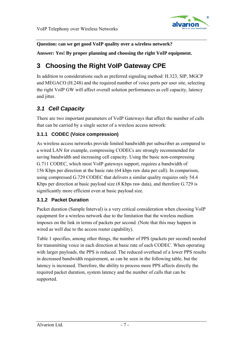

#### <span id="page-6-0"></span>**Question: can we get good VoIP quality over a wireless network?**

**Answer: Yes! By proper planning and choosing the right VoIP equipment.** 

# **3 Choosing the Right VoIP Gateway CPE**

In addition to considerations such as preferred signaling method: H.323, SIP, MGCP and MEGACO (H.248) and the required number of voice ports per user site, selecting the right VoIP GW will affect overall solution performances as cell capacity, latency and jitter.

## *3.1 Cell Capacity*

There are two important parameters of VoIP Gateways that affect the number of calls that can be carried by a single sector of a wireless access network:

#### **3.1.1 CODEC (Voice compression)**

As wireless access networks provide limited bandwidth per subscriber as compared to a wired LAN for example, compressing CODECs are strongly recommended for saving bandwidth and increasing cell capacity. Using the basic non-compressing G.711 CODEC, which most VoIP gateways support, requires a bandwidth of 156 Kbps per direction at the basic rate (64 kbps raw data per call). In comparison, using compressed G.729 CODEC that delivers a similar quality requires only 54.4 Kbps per direction at basic payload size (8 Kbps raw data), and therefore G.729 is significantly more efficient even at basic payload size.

#### **3.1.2 Packet Duration**

Packet duration (Sample Interval) is a very critical consideration when choosing VoIP equipment for a wireless network due to the limitation that the wireless medium imposes on the link in terms of packets per second. (Note that this may happen in wired as well due to the access router capability).

Table 1 specifies, among other things, the number of PPS (packets per second) needed for transmitting voice in each direction at basic rate of each CODEC. When operating with larger payloads, the PPS is reduced. The reduced overhead of a lower PPS results in decreased bandwidth requirement, as can be seen in the following table, but the latency is increased. Therefore, the ability to process more PPS affects directly the required packet duration, system latency and the number of calls that can be supported.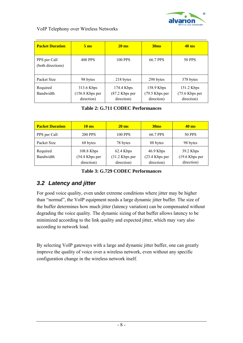

| <b>Packet Duration</b>            | 5 <sub>ms</sub>                             | $20 \text{ ms}$                              | 30 <sub>ms</sub>                           | $40 \text{ ms}$                            |  |
|-----------------------------------|---------------------------------------------|----------------------------------------------|--------------------------------------------|--------------------------------------------|--|
| PPS per Call<br>(both directions) | <b>400 PPS</b>                              | <b>100 PPS</b>                               | 66.7 PPS                                   | 50 PPS                                     |  |
| Packet Size                       | 98 bytes                                    | 218 bytes                                    | 298 bytes                                  | 378 bytes                                  |  |
| Required<br>Bandwidth             | 313.6 Kbps<br>(156.8 Kbps per<br>direction) | 174.4 Kbps<br>$(87.2$ Kbps per<br>direction) | 158.9 Kbps<br>(79.5 Kbps per<br>direction) | 151.2 Kbps<br>(75.6 Kbps per<br>direction) |  |

**Table 2: G.711 CODEC Performances** 

| <b>Packet Duration</b> | $10 \text{ ms}$                           | $20 \text{ ms}$                             | 30 <sub>ms</sub>                          | $40 \text{ ms}$                             |  |
|------------------------|-------------------------------------------|---------------------------------------------|-------------------------------------------|---------------------------------------------|--|
| PPS per Call           | <b>200 PPS</b>                            | <b>100 PPS</b>                              | 66.7 PPS                                  | <b>50 PPS</b>                               |  |
| Packet Size            | 68 bytes<br>78 bytes                      |                                             | 88 bytes                                  | 98 bytes                                    |  |
| Required<br>Bandwidth  | 108.8 Kbps<br>54.4 Kbps per<br>direction) | 62.4 Kbps<br>$(31.2$ Kbps per<br>direction) | 46.9 Kbps<br>(23.4 Kbps per<br>direction) | 39.2 Kbps<br>$(19.6$ Kbps per<br>direction) |  |

**Table 3: G.729 CODEC Performances** 

## *3.2 Latency and jitter*

For good voice quality, even under extreme conditions where jitter may be higher than "normal", the VoIP equipment needs a large dynamic jitter buffer. The size of the buffer determines how much jitter (latency variation) can be compensated without degrading the voice quality. The dynamic sizing of that buffer allows latency to be minimized according to the link quality and expected jitter, which may vary also according to network load.

By selecting VoIP gateways with a large and dynamic jitter buffer, one can greatly improve the quality of voice over a wireless network, even without any specific configuration change in the wireless network itself.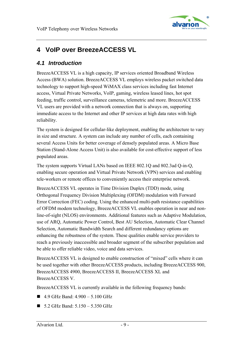

# <span id="page-8-0"></span>**4 VoIP over BreezeACCESS VL**

### *4.1 Introduction*

BreezeACCESS VL is a high capacity, IP services oriented Broadband Wireless Access (BWA) solution. BreezeACCESS VL employs wireless packet switched data technology to support high-speed WiMAX class services including fast Internet access, Virtual Private Networks, VoIP, gaming, wireless leased lines, hot spot feeding, traffic control, surveillance cameras, telemetric and more. BreezeACCESS VL users are provided with a network connection that is always on, supporting immediate access to the Internet and other IP services at high data rates with high reliability.

The system is designed for cellular-like deployment, enabling the architecture to vary in size and structure. A system can include any number of cells, each containing several Access Units for better coverage of densely populated areas. A Micro Base Station (Stand-Alone Access Unit) is also available for cost-effective support of less populated areas.

The system supports Virtual LANs based on IEEE 802.1Q and 802.3ad Q-in-Q, enabling secure operation and Virtual Private Network (VPN) services and enabling tele-workers or remote offices to conveniently access their enterprise network.

BreezeACCESS VL operates in Time Division Duplex (TDD) mode, using Orthogonal Frequency Division Multiplexing (OFDM) modulation with Forward Error Correction (FEC) coding. Using the enhanced multi-path resistance capabilities of OFDM modem technology, BreezeACCESS VL enables operation in near and nonline-of-sight (NLOS) environments. Additional features such as Adaptive Modulation, use of ARQ, Automatic Power Control, Best AU Selection, Automatic Clear Channel Selection, Automatic Bandwidth Search and different redundancy options are enhancing the robustness of the system. These qualities enable service providers to reach a previously inaccessible and broader segment of the subscriber population and be able to offer reliable video, voice and data services.

BreezeACCESS VL is designed to enable construction of "mixed" cells where it can be used together with other BreezeACCESS products, including BreezeACCESS 900, BreezeACCESS 4900, BreezeACCESS II, BreezeACCESS XL and BreezeACCESS V.

BreezeACCESS VL is currently available in the following frequency bands:

- $\blacksquare$  4.9 GHz Band: 4.900 5.100 GHz
- $\blacksquare$  5.2 GHz Band: 5.150 5.350 GHz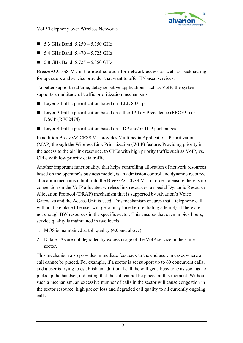

- $\blacksquare$  5.3 GHz Band: 5.250 5.350 GHz
- $\blacksquare$  5.4 GHz Band: 5.470 5.725 GHz
- $\blacksquare$  5.8 GHz Band: 5.725 5.850 GHz

BreezeACCESS VL is the ideal solution for network access as well as backhauling for operators and service provider that want to offer IP-based services.

To better support real time, delay sensitive applications such as VoIP, the system supports a multitude of traffic prioritization mechanisms:

- Layer-2 traffic prioritization based on IEEE 802.1p
- Layer-3 traffic prioritization based on either IP ToS Precedence (RFC791) or DSCP (RFC2474)
- Layer-4 traffic prioritization based on UDP and/or TCP port ranges.

In addition BreezeACCESS VL provides Multimedia Applications Prioritization (MAP) through the Wireless Link Prioritization (WLP) feature: Providing priority in the access to the air link resource, to CPEs with high priority traffic such as VoIP, vs. CPEs with low priority data traffic.

Another important functionality, that helps controlling allocation of network resources based on the operator's business model, is an admission control and dynamic resource allocation mechanism built into the BreezeACCESS-VL: in order to ensure there is no congestion on the VoIP allocated wireless link resources, a special Dynamic Resource Allocation Protocol (DRAP) mechanism that is supported by Alvarion's Voice Gateways and the Access Unit is used. This mechanism ensures that a telephone call will not take place (the user will get a busy tone before dialing attempt), if there are not enough BW resources in the specific sector. This ensures that even in pick hours, service quality is maintained in two levels:

- 1. MOS is maintained at toll quality (4.0 and above)
- 2. Data SLAs are not degraded by excess usage of the VoIP service in the same sector.

This mechanism also provides immediate feedback to the end user, in cases where a call cannot be placed. For example, if a sector is set support up to 60 concurrent calls, and a user is trying to establish an additional call, he will get a busy tone as soon as he picks up the handset, indicating that the call cannot be placed at this moment. Without such a mechanism, an excessive number of calls in the sector will cause congestion in the sector resource, high packet loss and degraded call quality to all currently ongoing calls.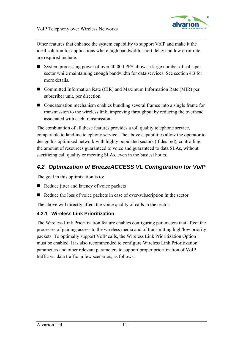

Other features that enhance the system capability to support VoIP and make it the ideal solution for applications where high bandwidth, short delay and low error rate are required include:

- System processing power of over 40,000 PPS allows a large number of calls per sector while maintaining enough bandwidth for data services. See section [4.3](#page-13-0) for more details.
- Committed Information Rate (CIR) and Maximum Information Rate (MIR) per subscriber unit, per direction.
- Concatenation mechanism enables bundling several frames into a single frame for transmission to the wireless link, improving throughput by reducing the overhead associated with each transmission.

The combination of all these features provides a toll quality telephone service, comparable to landline telephony service. The above capabilities allow the operator to design his optimized network with highly populated sectors (if desired), controlling the amount of resources guaranteed to voice and guaranteed to data SLAs, without sacrificing call quality or meeting SLAs, even in the busiest hours.

## *4.2 Optimization of BreezeACCESS VL Configuration for VoIP*

The goal in this optimization is to:

- $\blacksquare$  Reduce jitter and latency of voice packets
- Reduce the loss of voice packets in case of over-subscription in the sector

The above will directly affect the voice quality of calls in the sector.

#### **4.2.1 Wireless Link Prioritization**

The Wireless Link Prioritization feature enables configuring parameters that affect the processes of gaining access to the wireless media and of transmitting high/low priority packets. To optimally support VoIP calls, the Wireless Link Prioritization Option must be enabled. It is also recommended to configure Wireless Link Prioritization parameters and other relevant parameters to support proper prioritization of VoIP traffic vs. data traffic in few scenarios, as follows: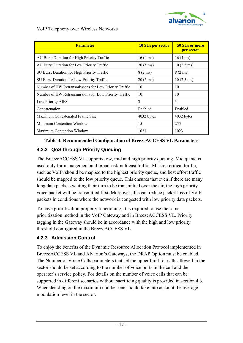

| <b>Parameter</b>                                      | <b>10 SUs per sector</b> | <b>50 SUs or more</b><br>per sector |
|-------------------------------------------------------|--------------------------|-------------------------------------|
| AU Burst Duration for High Priority Traffic           | $16(4 \text{ ms})$       | $16(4 \text{ ms})$                  |
| AU Burst Duration for Low Priority Traffic            | $20(5 \text{ ms})$       | $10(2.5 \text{ ms})$                |
| SU Burst Duration for High Priority Traffic           | $8(2 \text{ ms})$        | $8(2 \text{ ms})$                   |
| SU Burst Duration for Low Priority Traffic            | $20(5 \text{ ms})$       | $10(2.5 \text{ ms})$                |
| Number of HW Retransmissions for Low Priority Traffic | 10                       | 10                                  |
| Number of HW Retransmissions for Low Priority Traffic | 10                       | 10                                  |
| Low Priority AIFS                                     | 3                        | 3                                   |
| Concatenation                                         | Enabled                  | Enabled                             |
| Maximum Concatenated Frame Size                       | 4032 bytes               | 4032 bytes                          |
| Minimum Contention Window                             | 15                       | 255                                 |
| <b>Maximum Contention Window</b>                      | 1023                     | 1023                                |

#### **Table 4: Recommended Configuration of BreezeACCESS VL Parameters**

#### **4.2.2 QoS through Priority Queuing**

The BreezeACCESS VL supports low, mid and high priority queuing. Mid queue is used only for management and broadcast/multicast traffic. Mission critical traffic, such as VoIP, should be mapped to the highest priority queue, and best effort traffic should be mapped to the low priority queue. This ensures that even if there are many long data packets waiting their turn to be transmitted over the air, the high priority voice packet will be transmitted first. Moreover, this can reduce packet loss of VoIP packets in conditions where the network is congested with low priority data packets.

To have prioritization properly functioning, it is required to use the same prioritization method in the VoIP Gateway and in BreezeACCESS VL. Priority tagging in the Gateway should be in accordance with the high and low priority threshold configured in the BreezeACCESS VL.

#### **4.2.3 Admission Control**

To enjoy the benefits of the Dynamic Resource Allocation Protocol implemented in BreezeACCESS VL and Alvarion's Gateways, the DRAP Option must be enabled. The Number of Voice Calls parameters that set the upper limit for calls allowed in the sector should be set according to the number of voice ports in the cell and the operator's service policy. For details on the number of voice calls that can be supported in different scenarios without sacrificing quality is provided in section [4.3](#page-13-0). When deciding on the maximum number one should take into account the average modulation level in the sector.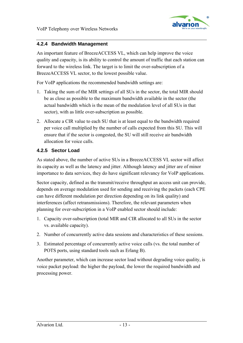

#### **4.2.4 Bandwidth Management**

An important feature of BreezeACCESS VL, which can help improve the voice quality and capacity, is its ability to control the amount of traffic that each station can forward to the wireless link. The target is to limit the over-subscription of a BreezeACCESS VL sector, to the lowest possible value.

For VoIP applications the recommended bandwidth settings are:

- 1. Taking the sum of the MIR settings of all SUs in the sector, the total MIR should be as close as possible to the maximum bandwidth available in the sector (the actual bandwidth which is the mean of the modulation level of all SUs in that sector), with as little over-subscription as possible.
- 2. Allocate a CIR value to each SU that is at least equal to the bandwidth required per voice call multiplied by the number of calls expected from this SU. This will ensure that if the sector is congested, the SU will still receive air bandwidth allocation for voice calls.

#### **4.2.5 Sector Load**

As stated above, the number of active SUs in a BreezeACCESS VL sector will affect its capacity as well as the latency and jitter. Although latency and jitter are of minor importance to data services, they do have significant relevancy for VoIP applications.

Sector capacity, defined as the transmit/receive throughput an access unit can provide, depends on average modulation used for sending and receiving the packets (each CPE can have different modulation per direction depending on its link quality) and interferences (affect retransmissions). Therefore, the relevant parameters when planning for over-subscription in a VoIP enabled sector should include:

- 1. Capacity over-subscription (total MIR and CIR allocated to all SUs in the sector vs. available capacity).
- 2. Number of concurrently active data sessions and characteristics of these sessions.
- 3. Estimated percentage of concurrently active voice calls (vs. the total number of POTS ports, using standard tools such as Erlang B).

Another parameter, which can increase sector load without degrading voice quality, is voice packet payload: the higher the payload, the lower the required bandwidth and processing power.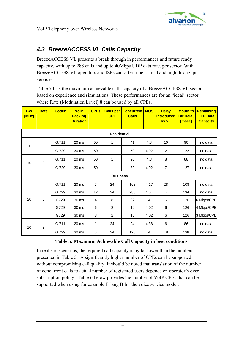

## <span id="page-13-0"></span>*4.3 BreezeACCESS VL Calls Capacity*

BreezeACCESS VL presents a break through in performances and future ready capacity, with up to 288 calls and up to 40Mbps UDP data rate, per sector. With BreezeACCESS VL operators and ISPs can offer time critical and high throughput services.

[Table 7](#page-15-0) lists the maximum achievable calls capacity of a BreezeACCESS VL sector based on experience and simulations. These performances are for an "ideal" sector where Rate (Modulation Level) 8 can be used by all CPEs.

| <b>BW</b><br>[MHz] | <b>Rate</b> | <b>Codec</b> | <b>VolP</b><br><b>Packing</b><br><b>Duration</b> | <b>CPEs</b> | <b>Calls per</b><br><b>CPE</b> | <b>Concurrent</b><br><b>Calls</b> | <b>MOS</b> | <b>Delay</b><br><b>introduced</b><br>by VL | <b>Mouth to</b><br><b>Ear Delau</b><br>[msec] | <b>Remaining</b><br><b>FTP Data</b><br><b>Capacity</b> |
|--------------------|-------------|--------------|--------------------------------------------------|-------------|--------------------------------|-----------------------------------|------------|--------------------------------------------|-----------------------------------------------|--------------------------------------------------------|
| <b>Residential</b> |             |              |                                                  |             |                                |                                   |            |                                            |                                               |                                                        |
|                    |             | G.711        | 20 <sub>ms</sub>                                 | 50          | 1                              | 41                                | 4.3        | 10                                         | 90                                            | no data                                                |
| 20                 | 8           | G.729        | 30 ms                                            | 50          | 1                              | 50                                | 4.02       | $\mathbf{2}$                               | 122                                           | no data                                                |
|                    |             | G.711        | 20 ms                                            | 50          | 1                              | 20                                | 4.3        | 8                                          | 88                                            | no data                                                |
| 10                 | 8           | G.729        | 30 ms                                            | 50          | 1                              | 32                                | 4.02       | $\overline{7}$                             | 127                                           | no data                                                |
|                    |             |              |                                                  |             | <b>Business</b>                |                                   |            |                                            |                                               |                                                        |
|                    |             | G.711        | 20 ms                                            | 7           | 24                             | 168                               | 4.17       | 28                                         | 108                                           | no data                                                |
|                    |             | G.729        | 30 ms                                            | 12          | 24                             | 288                               | 4.01       | 14                                         | 134                                           | no data                                                |
| 20                 | 8           | G729         | 30 ms                                            | 4           | 8                              | 32                                | 4          | 6                                          | 126                                           | 6 Mbps/CPE                                             |
|                    |             | G729         | 30 ms                                            | 6           | 2                              | 12                                | 4.02       | 6                                          | 126                                           | 4 Mbps/CPE                                             |
|                    |             | G729         | 30 ms                                            | 8           | $\overline{2}$                 | 16                                | 4.02       | 6                                          | 126                                           | 3 Mbps/CPE                                             |
|                    |             | G.711        | 20 ms                                            | 1           | 24                             | 24                                | 4.38       | $\,6\,$                                    | 86                                            | no data                                                |
| 10                 | 8           | G.729        | 30 ms                                            | 5           | 24                             | 120                               | 4          | 18                                         | 138                                           | no data                                                |

#### **Table 5: Maximum Achievable Call Capacity in best conditions**

In realistic scenarios, the required call capacity is by far lower than the numbers presented in [Table 5.](#page-13-0) A significantly higher number of CPEs can be supported without compromising call quality. It should be noted that translation of the number of concurrent calls to actual number of registered users depends on operator's oversubscription policy. [Table 6](#page-14-0) below provides the number of VoIP CPEs that can be supported when using for example Erlang B for the voice service model.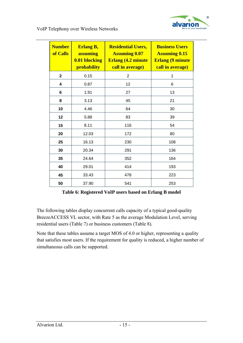

<span id="page-14-0"></span>

| <b>Number</b><br>of Calls | <b>Erlang B,</b><br><b>assuming</b><br><b>0.01 blocking</b><br>probability | <b>Residential Users,</b><br><b>Assuming 0.07</b><br><b>Erlang (4.2 minute)</b><br>call in average) | <b>Business Users</b><br><b>Assuming 0.15</b><br><b>Erlang (9 minute)</b><br>call in average) |  |
|---------------------------|----------------------------------------------------------------------------|-----------------------------------------------------------------------------------------------------|-----------------------------------------------------------------------------------------------|--|
| $\mathbf 2$               | 0.15                                                                       | 2                                                                                                   | 1                                                                                             |  |
| 4                         | 0.87                                                                       | 12                                                                                                  | 6                                                                                             |  |
| 6                         | 1.91                                                                       | 27                                                                                                  | 13                                                                                            |  |
| 8                         | 3.13                                                                       | 45                                                                                                  | 21                                                                                            |  |
| 10                        | 4.46                                                                       | 64                                                                                                  | 30                                                                                            |  |
| 12                        | 5.88                                                                       | 83                                                                                                  | 39                                                                                            |  |
| 15                        | 8.11                                                                       | 116                                                                                                 | 54                                                                                            |  |
| 20                        | 12.03                                                                      | 172                                                                                                 | 80                                                                                            |  |
| 25                        | 16.13                                                                      | 230                                                                                                 | 108                                                                                           |  |
| 30                        | 20.34                                                                      | 291                                                                                                 | 136                                                                                           |  |
| 35                        | 24.64                                                                      | 352                                                                                                 | 164                                                                                           |  |
| 40                        | 29.01                                                                      | 414                                                                                                 | 193                                                                                           |  |
| 45                        | 33.43                                                                      | 478                                                                                                 | 223                                                                                           |  |
| 50                        | 37.90                                                                      | 541                                                                                                 | 253                                                                                           |  |

**Table 6: Registered VoIP users based on Erlang B model** 

The following tables display concurrent calls capacity of a typical good-quality BreezeACCESS VL sector, with Rate 5 as the average Modulation Level, serving residential users ([Table 7](#page-15-0)) or business customers [\(Table 8\)](#page-16-0).

Note that these tables assume a target MOS of 4.0 or higher, representing a quality that satisfies most users. If the requirement for quality is reduced, a higher number of simultaneous calls can be supported.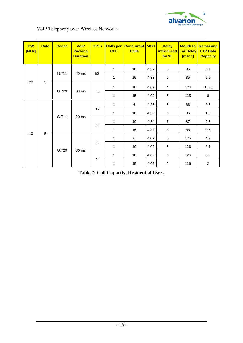

<span id="page-15-0"></span>

| <b>BW</b><br>[MHz] | Rate           | <b>Codec</b>                     | <b>VolP</b><br><b>Packing</b><br><b>Duration</b> | <b>CPEs</b> | <b>Calls per</b><br><b>CPE</b> | <b>Concurrent</b><br><b>Calls</b> | <b>MOS</b> | <b>Delay</b><br>introduced<br>by VL | <b>Mouth to</b><br><b>Ear Delay</b><br>[msec] | Remaining<br><b>FTP Data</b><br><b>Capacity</b> |
|--------------------|----------------|----------------------------------|--------------------------------------------------|-------------|--------------------------------|-----------------------------------|------------|-------------------------------------|-----------------------------------------------|-------------------------------------------------|
|                    |                |                                  |                                                  |             | 1                              | 10                                | 4.37       | 5                                   | 85                                            | 8.1                                             |
|                    |                | G.711                            | 20 ms                                            | 50          | $\mathbf{1}$                   | 15                                | 4.33       | 5                                   | 85                                            | 5.5                                             |
| 20                 | 5              |                                  |                                                  |             | 1                              | 10                                | 4.02       | 4                                   | 124                                           | 10.3                                            |
|                    |                | G.729                            | 30 ms                                            | 50          | 1                              | 15                                | 4.02       | 5                                   | 125                                           | 8                                               |
|                    |                | G.711<br>20 ms<br>G.729<br>30 ms |                                                  | 25          | 1                              | $\,6\,$                           | 4.36       | $\,6\,$                             | 86                                            | 3.5                                             |
|                    |                |                                  |                                                  |             | 1                              | 10                                | 4.36       | 6                                   | 86                                            | 1.6                                             |
|                    |                |                                  |                                                  | 50          | 1                              | 10                                | 4.34       | $\overline{7}$                      | 87                                            | 2.3                                             |
|                    |                |                                  |                                                  |             | 1                              | 15                                | 4.33       | 8                                   | 88                                            | 0.5                                             |
| 10                 | $\overline{5}$ |                                  |                                                  |             | 1                              | 6                                 | 4.02       | 5                                   | 125                                           | 4.7                                             |
|                    |                |                                  |                                                  | 25          | 1                              | 10                                | 4.02       | 6                                   | 126                                           | 3.1                                             |
|                    |                |                                  |                                                  |             | 1                              | 10                                | 4.02       | 6                                   | 126                                           | 3.5                                             |
|                    |                |                                  |                                                  |             | 50                             | 1                                 | 15         | 4.02                                | 6                                             | 126                                             |

**Table 7: Call Capacity, Residential Users**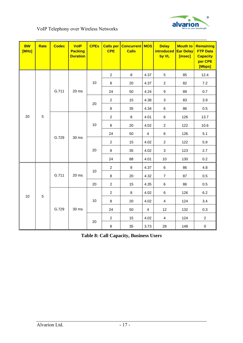

<span id="page-16-0"></span>

| <b>BW</b><br>[MHz] | <b>Rate</b> | <b>Codec</b>            | <b>VolP</b><br><b>Packing</b><br><b>Duration</b> | <b>CPEs</b> | <b>Calls per</b><br><b>CPE</b> | <b>Concurrent</b><br><b>Calls</b> | <b>MOS</b>              | <b>Delay</b><br><i>introduced</i><br>by VL | <b>Mouth to</b><br><b>Ear Delay</b><br>[msec] | Remaining<br><b>FTP Data</b><br><b>Capacity</b><br>per CPE<br>[Mbps] |
|--------------------|-------------|-------------------------|--------------------------------------------------|-------------|--------------------------------|-----------------------------------|-------------------------|--------------------------------------------|-----------------------------------------------|----------------------------------------------------------------------|
|                    |             |                         |                                                  |             | $\overline{2}$                 | 8                                 | 4.37                    | 5                                          | 85                                            | 12.4                                                                 |
|                    |             |                         |                                                  | 10          | 8                              | 20                                | 4.37                    | $\overline{c}$                             | 82                                            | 7.2                                                                  |
|                    |             | G.711                   | 20 ms                                            |             | 24                             | 50                                | 4.24                    | 9                                          | 89                                            | 0.7                                                                  |
|                    |             |                         |                                                  | 20          | $\overline{2}$                 | 15                                | 4.38                    | $\mathbf{3}$                               | 83                                            | 3.9                                                                  |
|                    |             |                         |                                                  |             | 8                              | 35                                | 4.34                    | 6                                          | 86                                            | 0.5                                                                  |
| 20                 | $\sqrt{5}$  |                         | 30 ms                                            | 10          | $\overline{c}$                 | $\,8\,$                           | 4.01                    | 6                                          | 126                                           | 13.7                                                                 |
|                    |             | G.729                   |                                                  |             | 8                              | 20                                | 4.02                    | $\overline{2}$                             | 122                                           | 10.6                                                                 |
|                    |             |                         |                                                  |             | 24                             | 50                                | $\overline{4}$          | 6                                          | 126                                           | 5.1                                                                  |
|                    |             |                         |                                                  | 20          | $\overline{c}$                 | 15                                | 4.02                    | $\overline{c}$                             | 122                                           | 5.9                                                                  |
|                    |             |                         |                                                  |             | 8                              | 35                                | 4.02                    | $\mathbf{3}$                               | 123                                           | 2.7                                                                  |
|                    |             |                         |                                                  |             | 24                             | 88                                | 4.01                    | 10                                         | 130                                           | 0.2                                                                  |
|                    |             | G.711                   | 20 ms                                            |             | $\overline{c}$                 | 8                                 | 4.37                    | 6                                          | 86                                            | 4.8                                                                  |
|                    |             |                         |                                                  | 10          | 8                              | 20                                | 4.32                    | $\overline{7}$                             | 87                                            | 0.5                                                                  |
|                    |             |                         |                                                  | 20          | $\overline{2}$                 | 15                                | 4.35                    | 6                                          | 86                                            | 0.5                                                                  |
|                    |             |                         | 30 ms                                            |             | $\overline{2}$                 | 8                                 | 4.02                    | 6                                          | 126                                           | 6.2                                                                  |
| 10                 |             | $\overline{5}$<br>G.729 |                                                  | 10          | 8                              | 20                                | 4.02                    | $\overline{4}$                             | 124                                           | 3.4                                                                  |
|                    |             |                         |                                                  |             | 24                             | 50                                | $\overline{\mathbf{4}}$ | 12                                         | 132                                           | 0.3                                                                  |
|                    |             |                         |                                                  |             | $\overline{c}$                 | 15                                | 4.02                    | $\overline{\mathbf{4}}$                    | 124                                           | $\overline{c}$                                                       |
|                    |             |                         |                                                  | 20          | $\bf 8$                        | 35                                | 3.73                    | 28                                         | 148                                           | $\mathbf 0$                                                          |

**Table 8: Call Capacity, Business Users**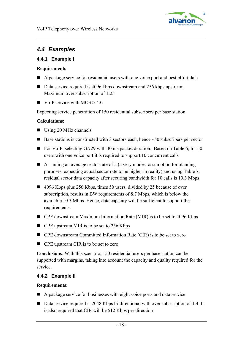

## *4.4 Examples*

#### **4.4.1 Example I**

#### **Requirements**

- A package service for residential users with one voice port and best effort data
- Data service required is 4096 kbps downstream and 256 kbps upstream. Maximum over subscription of 1:25
- $\blacksquare$  VoIP service with MOS > 4.0

Expecting service penetration of 150 residential subscribers per base station

#### **Calculations**:

- Using 20 MHz channels
- Base stations is constructed with 3 sectors each, hence  $\sim$  50 subscribers per sector
- For VoIP, selecting G.729 with 30 ms packet duration. Based on [Table 6,](#page-14-0) for 50 users with one voice port it is required to support 10 concurrent calls
- Assuming an average sector rate of 5 (a very modest assumption for planning purposes, expecting actual sector rate to be higher in reality) and using [Table 7,](#page-15-0) residual sector data capacity after securing bandwidth for 10 calls is 10.3 Mbps
- 4096 Kbps plus 256 Kbps, times 50 users, divided by 25 because of over subscription, results in BW requirements of 8.7 Mbps, which is below the available 10.3 Mbps. Hence, data capacity will be sufficient to support the requirements.
- CPE downstream Maximum Information Rate (MIR) is to be set to 4096 Kbps
- CPE upstream MIR is to be set to 256 Kbps
- CPE downstream Committed Information Rate (CIR) is to be set to zero
- CPE upstream CIR is to be set to zero

**Conclusions**: With this scenario, 150 residential users per base station can be supported with margins, taking into account the capacity and quality required for the service.

#### **4.4.2 Example II**

#### **Requirements**:

- A package service for businesses with eight voice ports and data service
- Data service required is 2048 Kbps bi-directional with over subscription of 1:4. It is also required that CIR will be 512 Kbps per direction